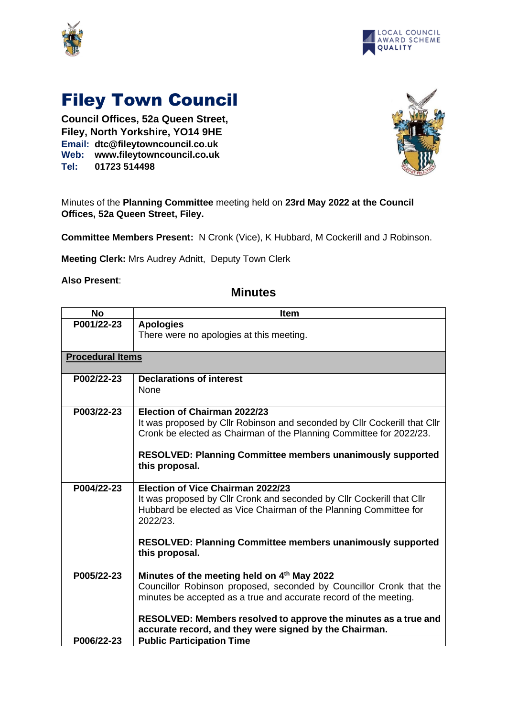



## Filey Town Council

**Council Offices, 52a Queen Street, Filey, North Yorkshire, YO14 9HE Email: dtc@fileytowncouncil.co.uk Web: www.fileytowncouncil.co.uk Tel: 01723 514498**



Minutes of the **Planning Committee** meeting held on **23rd May 2022 at the Council Offices, 52a Queen Street, Filey.**

**Committee Members Present:** N Cronk (Vice), K Hubbard, M Cockerill and J Robinson.

**Meeting Clerk:** Mrs Audrey Adnitt, Deputy Town Clerk

## **Also Present**:

| <b>No</b>               | <b>Item</b>                                                                                                               |
|-------------------------|---------------------------------------------------------------------------------------------------------------------------|
| P001/22-23              | <b>Apologies</b>                                                                                                          |
|                         | There were no apologies at this meeting.                                                                                  |
|                         |                                                                                                                           |
| <b>Procedural Items</b> |                                                                                                                           |
|                         |                                                                                                                           |
| P002/22-23              | <b>Declarations of interest</b>                                                                                           |
|                         | <b>None</b>                                                                                                               |
|                         |                                                                                                                           |
| P003/22-23              | Election of Chairman 2022/23                                                                                              |
|                         | It was proposed by Cllr Robinson and seconded by Cllr Cockerill that Cllr                                                 |
|                         | Cronk be elected as Chairman of the Planning Committee for 2022/23.                                                       |
|                         | <b>RESOLVED: Planning Committee members unanimously supported</b>                                                         |
|                         | this proposal.                                                                                                            |
|                         |                                                                                                                           |
| P004/22-23              | <b>Election of Vice Chairman 2022/23</b>                                                                                  |
|                         | It was proposed by Cllr Cronk and seconded by Cllr Cockerill that Cllr                                                    |
|                         | Hubbard be elected as Vice Chairman of the Planning Committee for                                                         |
|                         | 2022/23.                                                                                                                  |
|                         |                                                                                                                           |
|                         | <b>RESOLVED: Planning Committee members unanimously supported</b>                                                         |
|                         | this proposal.                                                                                                            |
|                         |                                                                                                                           |
| P005/22-23              | Minutes of the meeting held on 4th May 2022                                                                               |
|                         | Councillor Robinson proposed, seconded by Councillor Cronk that the                                                       |
|                         | minutes be accepted as a true and accurate record of the meeting.                                                         |
|                         |                                                                                                                           |
|                         | RESOLVED: Members resolved to approve the minutes as a true and<br>accurate record, and they were signed by the Chairman. |
| P006/22-23              | <b>Public Participation Time</b>                                                                                          |

## **Minutes**